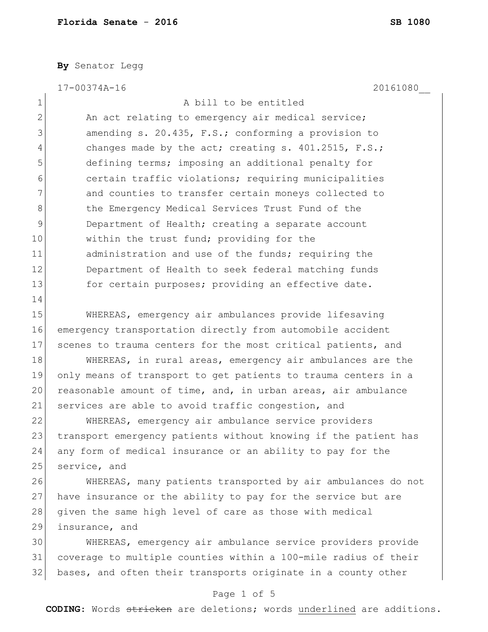**By** Senator Legg

17-00374A-16 20161080\_\_

| $1\,$          | A bill to be entitled                                           |
|----------------|-----------------------------------------------------------------|
| $\overline{2}$ | An act relating to emergency air medical service;               |
| 3              | amending s. 20.435, F.S.; conforming a provision to             |
| 4              | changes made by the act; creating s. $401.2515$ , F.S.;         |
| 5              | defining terms; imposing an additional penalty for              |
| 6              | certain traffic violations; requiring municipalities            |
| 7              | and counties to transfer certain moneys collected to            |
| 8              | the Emergency Medical Services Trust Fund of the                |
| 9              | Department of Health; creating a separate account               |
| 10             | within the trust fund; providing for the                        |
| 11             | administration and use of the funds; requiring the              |
| 12             | Department of Health to seek federal matching funds             |
| 13             | for certain purposes; providing an effective date.              |
| 14             |                                                                 |
| 15             | WHEREAS, emergency air ambulances provide lifesaving            |
| 16             | emergency transportation directly from automobile accident      |
| 17             | scenes to trauma centers for the most critical patients, and    |
| 18             | WHEREAS, in rural areas, emergency air ambulances are the       |
| 19             | only means of transport to get patients to trauma centers in a  |
| 20             | reasonable amount of time, and, in urban areas, air ambulance   |
| 21             | services are able to avoid traffic congestion, and              |
| 22             | WHEREAS, emergency air ambulance service providers              |
| 23             | transport emergency patients without knowing if the patient has |
| 24             | any form of medical insurance or an ability to pay for the      |
| 25             | service, and                                                    |
| 26             | WHEREAS, many patients transported by air ambulances do not     |
| 27             | have insurance or the ability to pay for the service but are    |
| 28             | given the same high level of care as those with medical         |
| 29             | insurance, and                                                  |
| 30             | WHEREAS, emergency air ambulance service providers provide      |
| 31             | coverage to multiple counties within a 100-mile radius of their |
| 32             | bases, and often their transports originate in a county other   |
|                |                                                                 |

## Page 1 of 5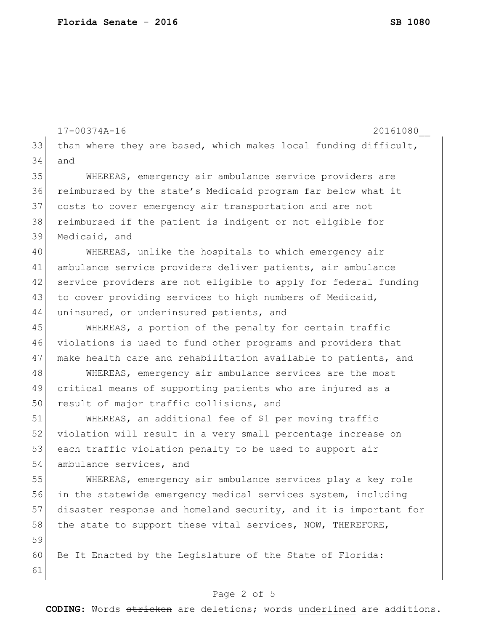17-00374A-16 20161080\_\_ 33 than where they are based, which makes local funding difficult, 34 and 35 WHEREAS, emergency air ambulance service providers are 36 reimbursed by the state's Medicaid program far below what it 37 costs to cover emergency air transportation and are not 38 reimbursed if the patient is indigent or not eligible for 39 Medicaid, and 40 WHEREAS, unlike the hospitals to which emergency air 41 ambulance service providers deliver patients, air ambulance 42 service providers are not eligible to apply for federal funding 43 to cover providing services to high numbers of Medicaid, 44 uninsured, or underinsured patients, and 45 WHEREAS, a portion of the penalty for certain traffic 46 violations is used to fund other programs and providers that 47 make health care and rehabilitation available to patients, and 48 WHEREAS, emergency air ambulance services are the most 49 critical means of supporting patients who are injured as a 50 result of major traffic collisions, and 51 WHEREAS, an additional fee of \$1 per moving traffic 52 violation will result in a very small percentage increase on 53 each traffic violation penalty to be used to support air 54 ambulance services, and 55 WHEREAS, emergency air ambulance services play a key role 56 in the statewide emergency medical services system, including 57 disaster response and homeland security, and it is important for 58 the state to support these vital services, NOW, THEREFORE, 59 60 Be It Enacted by the Legislature of the State of Florida: 61

## Page 2 of 5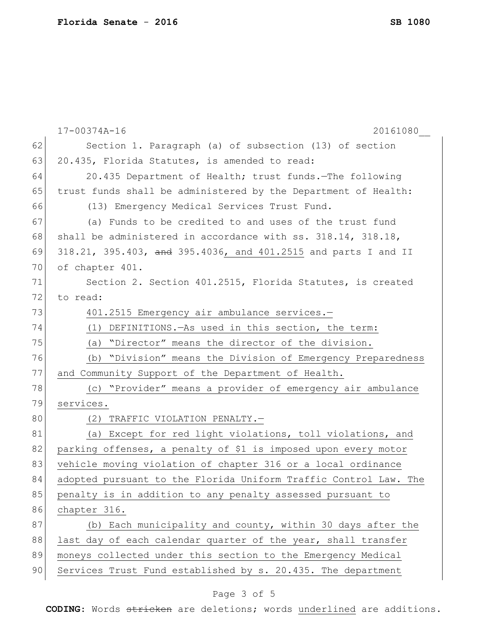|    | $17 - 00374A - 16$<br>20161080                                     |
|----|--------------------------------------------------------------------|
| 62 | Section 1. Paragraph (a) of subsection (13) of section             |
| 63 | 20.435, Florida Statutes, is amended to read:                      |
| 64 | 20.435 Department of Health; trust funds. The following            |
| 65 | trust funds shall be administered by the Department of Health:     |
| 66 | (13) Emergency Medical Services Trust Fund.                        |
| 67 | (a) Funds to be credited to and uses of the trust fund             |
| 68 | shall be administered in accordance with $ss. 318.14$ , $318.18$ , |
| 69 | 318.21, 395.403, and 395.4036, and 401.2515 and parts I and II     |
| 70 | of chapter 401.                                                    |
| 71 | Section 2. Section 401.2515, Florida Statutes, is created          |
| 72 | to read:                                                           |
| 73 | 401.2515 Emergency air ambulance services.-                        |
| 74 | DEFINITIONS. - As used in this section, the term:<br>(1)           |
| 75 | (a) "Director" means the director of the division.                 |
| 76 | (b) "Division" means the Division of Emergency Preparedness        |
| 77 | and Community Support of the Department of Health.                 |
| 78 | (c) "Provider" means a provider of emergency air ambulance         |
| 79 | services.                                                          |
| 80 | (2) TRAFFIC VIOLATION PENALTY.-                                    |
| 81 | (a) Except for red light violations, toll violations, and          |
| 82 | parking offenses, a penalty of \$1 is imposed upon every motor     |
| 83 | vehicle moving violation of chapter 316 or a local ordinance       |
| 84 | adopted pursuant to the Florida Uniform Traffic Control Law. The   |
| 85 | penalty is in addition to any penalty assessed pursuant to         |
| 86 | chapter 316.                                                       |
| 87 | (b) Each municipality and county, within 30 days after the         |
| 88 | last day of each calendar quarter of the year, shall transfer      |
| 89 | moneys collected under this section to the Emergency Medical       |
| 90 | Services Trust Fund established by s. 20.435. The department       |
|    |                                                                    |

## Page 3 of 5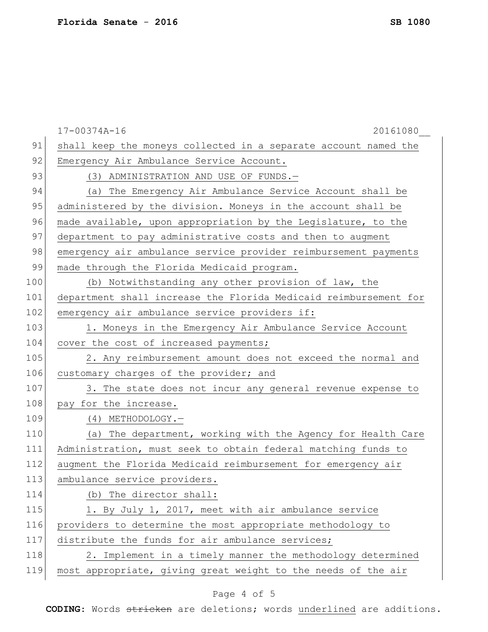|     | 17-00374A-16<br>20161080                                         |
|-----|------------------------------------------------------------------|
| 91  | shall keep the moneys collected in a separate account named the  |
| 92  | Emergency Air Ambulance Service Account.                         |
| 93  | (3) ADMINISTRATION AND USE OF FUNDS.-                            |
| 94  | (a) The Emergency Air Ambulance Service Account shall be         |
| 95  | administered by the division. Moneys in the account shall be     |
| 96  | made available, upon appropriation by the Legislature, to the    |
| 97  | department to pay administrative costs and then to augment       |
| 98  | emergency air ambulance service provider reimbursement payments  |
| 99  | made through the Florida Medicaid program.                       |
| 100 | (b) Notwithstanding any other provision of law, the              |
| 101 | department shall increase the Florida Medicaid reimbursement for |
| 102 | emergency air ambulance service providers if:                    |
| 103 | 1. Moneys in the Emergency Air Ambulance Service Account         |
| 104 | cover the cost of increased payments;                            |
| 105 | 2. Any reimbursement amount does not exceed the normal and       |
| 106 | customary charges of the provider; and                           |
| 107 | 3. The state does not incur any general revenue expense to       |
| 108 | pay for the increase.                                            |
| 109 | (4) METHODOLOGY.-                                                |
| 110 | (a) The department, working with the Agency for Health Care      |
| 111 | Administration, must seek to obtain federal matching funds to    |
| 112 | augment the Florida Medicaid reimbursement for emergency air     |
| 113 | ambulance service providers.                                     |
| 114 | (b) The director shall:                                          |
| 115 | 1. By July 1, 2017, meet with air ambulance service              |
| 116 | providers to determine the most appropriate methodology to       |
| 117 | distribute the funds for air ambulance services;                 |
| 118 | 2. Implement in a timely manner the methodology determined       |
| 119 | most appropriate, giving great weight to the needs of the air    |
|     |                                                                  |

## Page 4 of 5